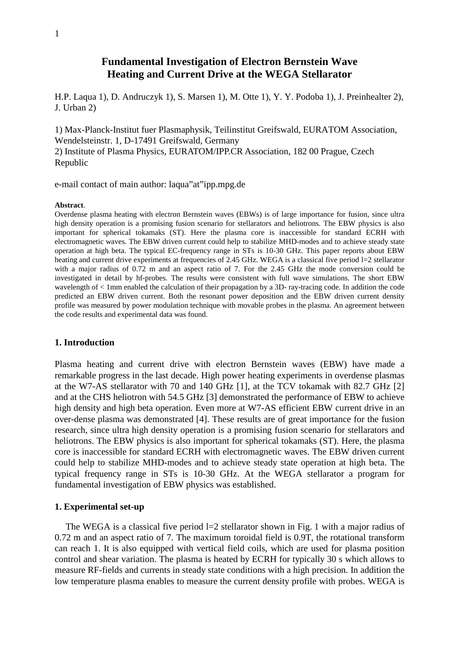# **Fundamental Investigation of Electron Bernstein Wave Heating and Current Drive at the WEGA Stellarator**

H.P. Laqua 1), D. Andruczyk 1), S. Marsen 1), M. Otte 1), Y. Y. Podoba 1), J. Preinhealter 2), J. Urban 2)

1) Max-Planck-Institut fuer Plasmaphysik, Teilinstitut Greifswald, EURATOM Association, Wendelsteinstr. 1, D-17491 Greifswald, Germany 2) Institute of Plasma Physics, EURATOM/IPP.CR Association, 182 00 Prague, Czech Republic

e-mail contact of main author: laqua"at"ipp.mpg.de

#### **Abstract**.

Overdense plasma heating with electron Bernstein waves (EBWs) is of large importance for fusion, since ultra high density operation is a promising fusion scenario for stellarators and heliotrons. The EBW physics is also important for spherical tokamaks (ST). Here the plasma core is inaccessible for standard ECRH with electromagnetic waves. The EBW driven current could help to stabilize MHD-modes and to achieve steady state operation at high beta. The typical EC-frequency range in STs is 10-30 GHz. This paper reports about EBW heating and current drive experiments at frequencies of 2.45 GHz. WEGA is a classical five period l=2 stellarator with a major radius of 0.72 m and an aspect ratio of 7. For the 2.45 GHz the mode conversion could be investigated in detail by hf-probes. The results were consistent with full wave simulations. The short EBW wavelength of < 1mm enabled the calculation of their propagation by a 3D- ray-tracing code. In addition the code predicted an EBW driven current. Both the resonant power deposition and the EBW driven current density profile was measured by power modulation technique with movable probes in the plasma. An agreement between the code results and experimental data was found.

## **1. Introduction**

Plasma heating and current drive with electron Bernstein waves (EBW) have made a remarkable progress in the last decade. High power heating experiments in overdense plasmas at the W7-AS stellarator with 70 and 140 GHz [1], at the TCV tokamak with 82.7 GHz [2] and at the CHS heliotron with 54.5 GHz [3] demonstrated the performance of EBW to achieve high density and high beta operation. Even more at W7-AS efficient EBW current drive in an over-dense plasma was demonstrated [4]. These results are of great importance for the fusion research, since ultra high density operation is a promising fusion scenario for stellarators and heliotrons. The EBW physics is also important for spherical tokamaks (ST). Here, the plasma core is inaccessible for standard ECRH with electromagnetic waves. The EBW driven current could help to stabilize MHD-modes and to achieve steady state operation at high beta. The typical frequency range in STs is 10-30 GHz. At the WEGA stellarator a program for fundamental investigation of EBW physics was established.

### **1. Experimental set-up**

The WEGA is a classical five period  $l=2$  stellarator shown in Fig. 1 with a major radius of 0.72 m and an aspect ratio of 7. The maximum toroidal field is 0.9T, the rotational transform can reach 1. It is also equipped with vertical field coils, which are used for plasma position control and shear variation. The plasma is heated by ECRH for typically 30 s which allows to measure RF-fields and currents in steady state conditions with a high precision. In addition the low temperature plasma enables to measure the current density profile with probes. WEGA is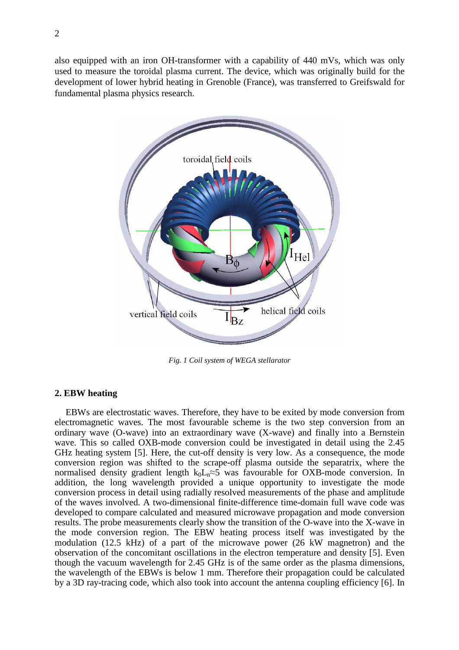also equipped with an iron OH-transformer with a capability of 440 mVs, which was only used to measure the toroidal plasma current. The device, which was originally build for the development of lower hybrid heating in Grenoble (France), was transferred to Greifswald for fundamental plasma physics research.



*Fig. 1 Coil system of WEGA stellarator*

## **2. EBW heating**

EBWs are electrostatic waves. Therefore, they have to be exited by mode conversion from electromagnetic waves. The most favourable scheme is the two step conversion from an ordinary wave (O-wave) into an extraordinary wave (X-wave) and finally into a Bernstein wave. This so called OXB-mode conversion could be investigated in detail using the 2.45 GHz heating system [5]. Here, the cut-off density is very low. As a consequence, the mode conversion region was shifted to the scrape-off plasma outside the separatrix, where the normalised density gradient length  $k_0L_n \approx 5$  was favourable for OXB-mode conversion. In addition, the long wavelength provided a unique opportunity to investigate the mode conversion process in detail using radially resolved measurements of the phase and amplitude of the waves involved. A two-dimensional finite-difference time-domain full wave code was developed to compare calculated and measured microwave propagation and mode conversion results. The probe measurements clearly show the transition of the O-wave into the X-wave in the mode conversion region. The EBW heating process itself was investigated by the modulation (12.5 kHz) of a part of the microwave power (26 kW magnetron) and the observation of the concomitant oscillations in the electron temperature and density [5]. Even though the vacuum wavelength for 2.45 GHz is of the same order as the plasma dimensions, the wavelength of the EBWs is below 1 mm. Therefore their propagation could be calculated by a 3D ray-tracing code, which also took into account the antenna coupling efficiency [6]. In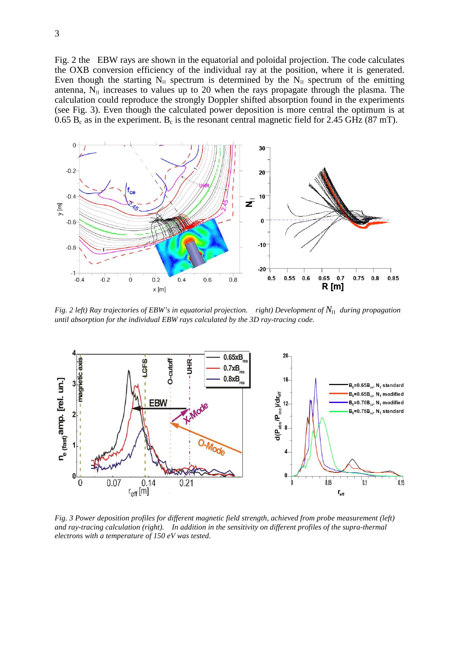Fig. 2 the EBW rays are shown in the equatorial and poloidal projection. The code calculates the OXB conversion efficiency of the individual ray at the position, where it is generated. Even though the starting  $N_{\text{II}}$  spectrum is determined by the  $N_{\text{II}}$  spectrum of the emitting antenna,  $N_{\parallel}$  increases to values up to 20 when the rays propagate through the plasma. The calculation could reproduce the strongly Doppler shifted absorption found in the experiments (see Fig. 3). Even though the calculated power deposition is more central the optimum is at 0.65  $B_c$  as in the experiment.  $B_c$  is the resonant central magnetic field for 2.45 GHz (87 mT).



*Fig. 2 left) Ray trajectories of EBW's in equatorial projection. right) Development of N*׀ ׀  *during propagation until absorption for the individual EBW rays calculated by the 3D ray-tracing code.* 



*Fig. 3 Power deposition profiles for different magnetic field strength, achieved from probe measurement (left) and ray-tracing calculation (right). In addition in the sensitivity on different profiles of the supra-thermal electrons with a temperature of 150 eV was tested.*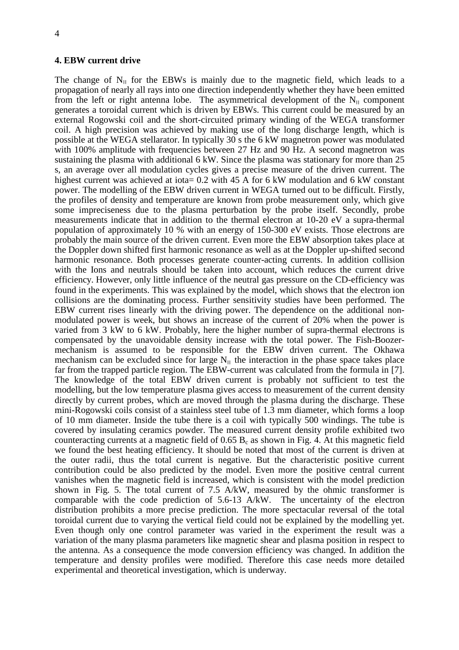#### **4. EBW current drive**

The change of  $N_{\text{II}}$  for the EBWs is mainly due to the magnetic field, which leads to a propagation of nearly all rays into one direction independently whether they have been emitted from the left or right antenna lobe. The asymmetrical development of the  $N_{\text{II}}$  component generates a toroidal current which is driven by EBWs. This current could be measured by an external Rogowski coil and the short-circuited primary winding of the WEGA transformer coil. A high precision was achieved by making use of the long discharge length, which is possible at the WEGA stellarator. In typically 30 s the 6 kW magnetron power was modulated with 100% amplitude with frequencies between 27 Hz and 90 Hz. A second magnetron was sustaining the plasma with additional 6 kW. Since the plasma was stationary for more than 25 s, an average over all modulation cycles gives a precise measure of the driven current. The highest current was achieved at iota= 0.2 with 45 A for 6 kW modulation and 6 kW constant power. The modelling of the EBW driven current in WEGA turned out to be difficult. Firstly, the profiles of density and temperature are known from probe measurement only, which give some impreciseness due to the plasma perturbation by the probe itself. Secondly, probe measurements indicate that in addition to the thermal electron at 10-20 eV a supra-thermal population of approximately 10 % with an energy of 150-300 eV exists. Those electrons are probably the main source of the driven current. Even more the EBW absorption takes place at the Doppler down shifted first harmonic resonance as well as at the Doppler up-shifted second harmonic resonance. Both processes generate counter-acting currents. In addition collision with the Ions and neutrals should be taken into account, which reduces the current drive efficiency. However, only little influence of the neutral gas pressure on the CD-efficiency was found in the experiments. This was explained by the model, which shows that the electron ion collisions are the dominating process. Further sensitivity studies have been performed. The EBW current rises linearly with the driving power. The dependence on the additional nonmodulated power is week, but shows an increase of the current of 20% when the power is varied from 3 kW to 6 kW. Probably, here the higher number of supra-thermal electrons is compensated by the unavoidable density increase with the total power. The Fish-Boozermechanism is assumed to be responsible for the EBW driven current. The Okhawa mechanism can be excluded since for large  $N_{\parallel}$  the interaction in the phase space takes place far from the trapped particle region. The EBW-current was calculated from the formula in [7]. The knowledge of the total EBW driven current is probably not sufficient to test the modelling, but the low temperature plasma gives access to measurement of the current density directly by current probes, which are moved through the plasma during the discharge. These mini-Rogowski coils consist of a stainless steel tube of 1.3 mm diameter, which forms a loop of 10 mm diameter. Inside the tube there is a coil with typically 500 windings. The tube is covered by insulating ceramics powder. The measured current density profile exhibited two counteracting currents at a magnetic field of  $0.65 B<sub>c</sub>$  as shown in Fig. 4. At this magnetic field we found the best heating efficiency. It should be noted that most of the current is driven at the outer radii, thus the total current is negative. But the characteristic positive current contribution could be also predicted by the model. Even more the positive central current vanishes when the magnetic field is increased, which is consistent with the model prediction shown in Fig. 5. The total current of 7.5 A/kW, measured by the ohmic transformer is comparable with the code prediction of 5.6-13 A/kW. The uncertainty of the electron distribution prohibits a more precise prediction. The more spectacular reversal of the total toroidal current due to varying the vertical field could not be explained by the modelling yet. Even though only one control parameter was varied in the experiment the result was a variation of the many plasma parameters like magnetic shear and plasma position in respect to the antenna. As a consequence the mode conversion efficiency was changed. In addition the temperature and density profiles were modified. Therefore this case needs more detailed experimental and theoretical investigation, which is underway.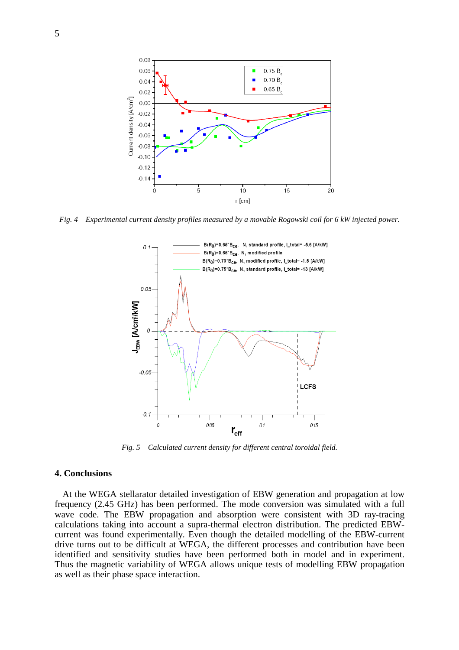

*Fig. 4 Experimental current density profiles measured by a movable Rogowski coil for 6 kW injected power.* 



*Fig. 5 Calculated current density for different central toroidal field.* 

# **4. Conclusions**

At the WEGA stellarator detailed investigation of EBW generation and propagation at low frequency (2.45 GHz) has been performed. The mode conversion was simulated with a full wave code. The EBW propagation and absorption were consistent with 3D ray-tracing calculations taking into account a supra-thermal electron distribution. The predicted EBWcurrent was found experimentally. Even though the detailed modelling of the EBW-current drive turns out to be difficult at WEGA, the different processes and contribution have been identified and sensitivity studies have been performed both in model and in experiment. Thus the magnetic variability of WEGA allows unique tests of modelling EBW propagation as well as their phase space interaction.